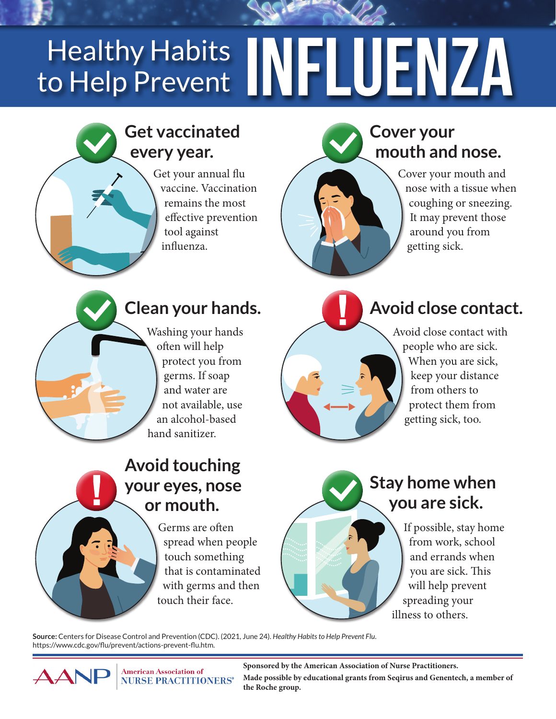# Healthy Habits **MFLUENZA** to Help Prevent

# **Get vaccinated every year.**

Get your annual flu vaccine. Vaccination remains the most effective prevention tool against influenza.

# **Cover your mouth and nose.**

Cover your mouth and nose with a tissue when coughing or sneezing. It may prevent those around you from getting sick.



# **Clean your hands.**

Washing your hands often will help protect you from germs. If soap and water are not available, use an alcohol-based hand sanitizer.

# **Avoid close contact.**

Avoid close contact with people who are sick. When you are sick, keep your distance from others to protect them from getting sick, too.

## **Avoid touching your eyes, nose or mouth.**

Germs are often spread when people touch something that is contaminated with germs and then touch their face.

## **Stay home when you are sick.**

If possible, stay home from work, school and errands when you are sick. This will help prevent spreading your illness to others.

**Source:** Centers for Disease Control and Prevention (CDC). (2021, June 24). *Healthy Habits to Help Prevent Flu*. https://www.cdc.gov/flu/prevent/actions-prevent-flu.htm.



**Sponsored by the American Association of Nurse Practitioners. Made possible by educational grants from Seqirus and Genentech, a member of the Roche group.**